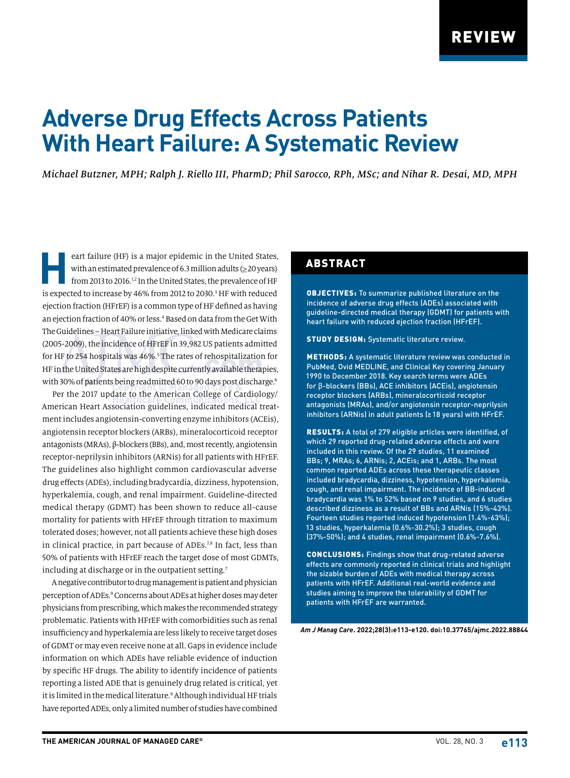# **Adverse Drug Effects Across Patients With Heart Failure: A Systematic Review**

*Michael Butzner, MPH; Ralph J. Riello III, PharmD; Phil Sarocco, RPh, MSc; and Nihar R. Desai, MD, MPH* 

eart failure (HF) is a major epidemic in the United States,<br>with an estimated prevalence of 6.3 million adults ( $\geq$ 20 years)<br>from 2013 to 2016.<sup>12</sup> In the United States, the prevalence of HF with an estimated prevalence of 6.3 million adults (≥20 years) from 2013 to 2016.<sup>1,2</sup> In the United States, the prevalence of HF is expected to increase by 46% from 2012 to 2030.<sup>3</sup> HF with reduced ejection fraction (HFrEF) is a common type of HF defined as having an ejection fraction of 40% or less.<sup>4</sup> Based on data from the Get With The Guidelines – Heart Failure initiative, linked with Medicare claims (2005-2009), the incidence of HFrEF in 39,982 US patients admitted for HF to 254 hospitals was 46%.<sup>5</sup> The rates of rehospitalization for HF in the United States are high despite currently available therapies, with 30% of patients being readmitted 60 to 90 days post discharge.<sup>6</sup>

Per the 2017 update to the American College of Cardiology/ American Heart Association guidelines, indicated medical treatment includes angiotensin-converting enzyme inhibitors (ACEis), angiotensin receptor blockers (ARBs), mineralocorticoid receptor antagonists (MRAs), β-blockers (BBs), and, most recently, angiotensin receptor-neprilysin inhibitors (ARNis) for all patients with HFrEF. The guidelines also highlight common cardiovascular adverse drug effects (ADEs), including bradycardia, dizziness, hypotension, hyperkalemia, cough, and renal impairment. Guideline-directed medical therapy (GDMT) has been shown to reduce all-cause mortality for patients with HFrEF through titration to maximum tolerated doses; however, not all patients achieve these high doses in clinical practice, in part because of ADEs.<sup>7,8</sup> In fact, less than 50% of patients with HFrEF reach the target dose of most GDMTs, including at discharge or in the outpatient setting.<sup>7</sup>

A negative contributor to drug management is patient and physician perception of ADEs.<sup>9</sup> Concerns about ADEs at higher doses may deter physicians from prescribing, which makes the recommended strategy problematic. Patients with HFrEF with comorbidities such as renal insufficiency and hyperkalemia are less likely to receive target doses of GDMT or may even receive none at all. Gaps in evidence include information on which ADEs have reliable evidence of induction by specific HF drugs. The ability to identify incidence of patients reporting a listed ADE that is genuinely drug related is critical, yet it is limited in the medical literature.<sup>9</sup> Although individual HF trials have reported ADEs, only a limited number of studies have combined

# ABSTRACT

OBJECTIVES: To summarize published literature on the incidence of adverse drug effects (ADEs) associated with guideline-directed medical therapy (GDMT) for patients with heart failure with reduced ejection fraction (HFrEF).

STUDY DESIGN: Systematic literature review.

METHODS: A systematic literature review was conducted in PubMed, Ovid MEDLINE, and Clinical Key covering January 1990 to December 2018. Key search terms were ADEs for β-blockers (BBs), ACE inhibitors (ACEis), angiotensin receptor blockers (ARBs), mineralocorticoid receptor antagonists (MRAs), and/or angiotensin receptor-neprilysin inhibitors (ARNis) in adult patients (≥18 years) with HFrEF.

RESULTS: A total of 279 eligible articles were identified, of which 29 reported drug-related adverse effects and were included in this review. Of the 29 studies, 11 examined BBs; 9, MRAs; 6, ARNis; 2, ACEis; and 1, ARBs. The most common reported ADEs across these therapeutic classes included bradycardia, dizziness, hypotension, hyperkalemia, cough, and renal impairment. The incidence of BB-induced bradycardia was 1% to 52% based on 9 studies, and 6 studies described dizziness as a result of BBs and ARNis (15%-43%). Fourteen studies reported induced hypotension (1.4%-63%); 13 studies, hyperkalemia (0.6%-30.2%); 3 studies, cough (37%-50%); and 4 studies, renal impairment (0.6%-7.6%).

CONCLUSIONS: Findings show that drug-related adverse effects are commonly reported in clinical trials and highlight the sizable burden of ADEs with medical therapy across patients with HFrEF. Additional real-world evidence and studies aiming to improve the tolerability of GDMT for patients with HFrEF are warranted.

*Am J Manag Care***. 2022;28(3):e113-e120. doi:10.37765/ajmc.2022.88844**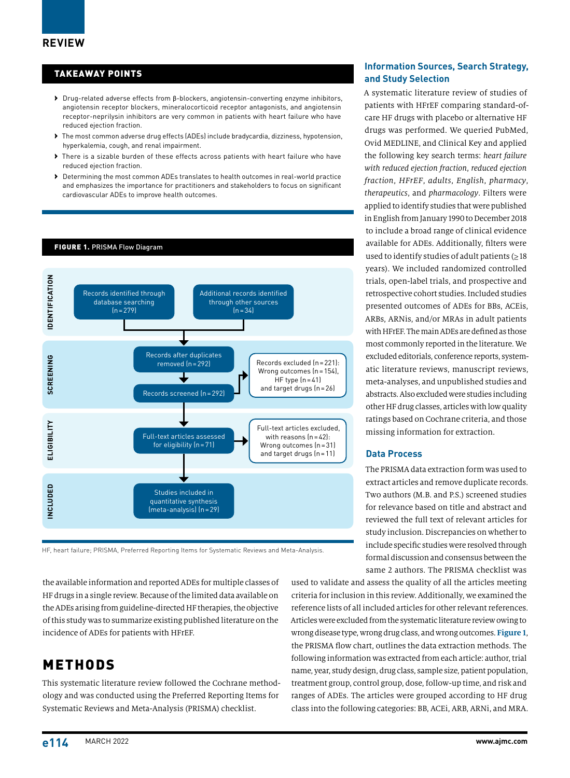### TAKEAWAY POINTS

- › Drug-related adverse effects from β-blockers, angiotensin-converting enzyme inhibitors, angiotensin receptor blockers, mineralocorticoid receptor antagonists, and angiotensin receptor-neprilysin inhibitors are very common in patients with heart failure who have reduced ejection fraction.
- › The most common adverse drug effects (ADEs) include bradycardia, dizziness, hypotension, hyperkalemia, cough, and renal impairment.
- › There is a sizable burden of these effects across patients with heart failure who have reduced ejection fraction.
- › Determining the most common ADEs translates to health outcomes in real-world practice and emphasizes the importance for practitioners and stakeholders to focus on significant cardiovascular ADEs to improve health outcomes.



#### HF, heart failure; PRISMA, Preferred Reporting Items for Systematic Reviews and Meta-Analysis.

the available information and reported ADEs for multiple classes of HF drugs in a single review. Because of the limited data available on the ADEs arising from guideline-directed HF therapies, the objective of this study was to summarize existing published literature on the incidence of ADEs for patients with HFrEF.

# METHODS

This systematic literature review followed the Cochrane methodology and was conducted using the Preferred Reporting Items for Systematic Reviews and Meta-Analysis (PRISMA) checklist.

### **Information Sources, Search Strategy, and Study Selection**

A systematic literature review of studies of patients with HFrEF comparing standard-ofcare HF drugs with placebo or alternative HF drugs was performed. We queried PubMed, Ovid MEDLINE, and Clinical Key and applied the following key search terms: *heart failure with reduced ejection fraction*, *reduced ejection fraction*, *HFrEF*, *adults*, *English*, *pharmacy*, *therapeutics*, and *pharmacology*. Filters were applied to identify studies that were published in English from January 1990 to December 2018 to include a broad range of clinical evidence available for ADEs. Additionally, filters were used to identify studies of adult patients (>18 years). We included randomized controlled trials, open-label trials, and prospective and retrospective cohort studies. Included studies presented outcomes of ADEs for BBs, ACEis, ARBs, ARNis, and/or MRAs in adult patients with HFrEF. The main ADEs are defined as those most commonly reported in the literature. We excluded editorials, conference reports, systematic literature reviews, manuscript reviews, meta-analyses, and unpublished studies and abstracts. Also excluded were studies including other HF drug classes, articles with low quality ratings based on Cochrane criteria, and those missing information for extraction.

### **Data Process**

The PRISMA data extraction form was used to extract articles and remove duplicate records. Two authors (M.B. and P.S.) screened studies for relevance based on title and abstract and reviewed the full text of relevant articles for study inclusion. Discrepancies on whether to include specific studies were resolved through formal discussion and consensus between the same 2 authors. The PRISMA checklist was

used to validate and assess the quality of all the articles meeting criteria for inclusion in this review. Additionally, we examined the reference lists of all included articles for other relevant references. Articles were excluded from the systematic literature review owing to wrong disease type, wrong drug class, and wrong outcomes. **Figure 1**, the PRISMA flow chart, outlines the data extraction methods. The following information was extracted from each article: author, trial name, year, study design, drug class, sample size, patient population, treatment group, control group, dose, follow-up time, and risk and ranges of ADEs. The articles were grouped according to HF drug class into the following categories: BB, ACEi, ARB, ARNi, and MRA.

# **e114** MARCH 2022 **www.ajmc.com**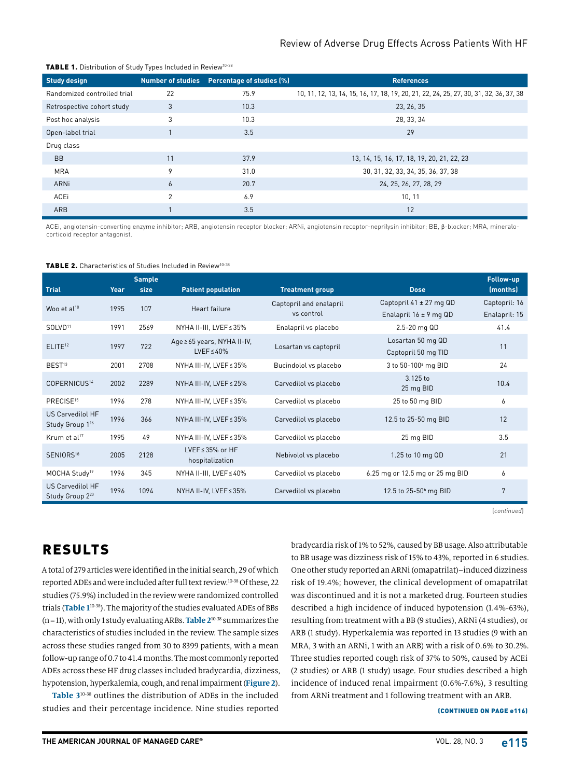### Review of Adverse Drug Effects Across Patients With HF

| <b>Study design</b>         |                | Number of studies Percentage of studies (%) | <b>References</b>                                                                      |
|-----------------------------|----------------|---------------------------------------------|----------------------------------------------------------------------------------------|
| Randomized controlled trial | 22             | 75.9                                        | 10, 11, 12, 13, 14, 15, 16, 17, 18, 19, 20, 21, 22, 24, 25, 27, 30, 31, 32, 36, 37, 38 |
| Retrospective cohort study  | 3              | 10.3                                        | 23, 26, 35                                                                             |
| Post hoc analysis           | 3              | 10.3                                        | 28, 33, 34                                                                             |
| Open-label trial            |                | 3.5                                         | 29                                                                                     |
| Drug class                  |                |                                             |                                                                                        |
| <b>BB</b>                   | 11             | 37.9                                        | 13, 14, 15, 16, 17, 18, 19, 20, 21, 22, 23                                             |
| <b>MRA</b>                  | 9              | 31.0                                        | 30, 31, 32, 33, 34, 35, 36, 37, 38                                                     |
| ARNi                        | 6              | 20.7                                        | 24, 25, 26, 27, 28, 29                                                                 |
| ACEi                        | $\overline{2}$ | 6.9                                         | 10, 11                                                                                 |
| ARB                         |                | 3.5                                         | 12                                                                                     |

#### TABLE 1. Distribution of Study Types Included in Review<sup>10-38</sup>

ACEi, angiotensin-converting enzyme inhibitor; ARB, angiotensin receptor blocker; ARNi, angiotensin receptor-neprilysin inhibitor; BB, β-blocker; MRA, mineralocorticoid receptor antagonist.

| <b>TABLE 2.</b> Characteristics of Studies Included in Review <sup>10-38</sup> |  |
|--------------------------------------------------------------------------------|--|
|--------------------------------------------------------------------------------|--|

|                                                 |      | <b>Sample</b> |                                   |                         |                                   | Follow-up     |
|-------------------------------------------------|------|---------------|-----------------------------------|-------------------------|-----------------------------------|---------------|
| <b>Trial</b>                                    | Year | size          | <b>Patient population</b>         | <b>Treatment group</b>  | <b>Dose</b>                       | (months)      |
| Woo et $al^{10}$                                | 1995 | 107           | Heart failure                     | Captopril and enalapril | Captopril $41 \pm 27$ mg QD       | Captopril: 16 |
|                                                 |      |               |                                   | ys control              | Enalapril $16 \pm 9$ mg QD        | Enalapril: 15 |
| SOLVD <sup>11</sup>                             | 1991 | 2569          | NYHA II-III, LVEF ≤35%            | Enalapril vs placebo    | 2.5-20 mg QD                      | 41.4          |
| ELITE <sup>12</sup>                             | 1997 | 722           | Age ≥ 65 years, NYHA II-IV,       | Losartan vs captopril   | Losartan 50 mg QD                 | 11            |
|                                                 |      |               | LVEF $\leq 40\%$                  |                         | Captopril 50 mg TID               |               |
| BEST <sup>13</sup>                              | 2001 | 2708          | NYHA III-IV, LVEF≤35%             | Bucindolol vs placebo   | 3 to 50-100 <sup>a</sup> mg BID   | 24            |
| COPERNICUS <sup>14</sup>                        | 2002 | 2289          | NYHA III-IV, LVEF≤25%             | Carvedilol vs placebo   | 3.125 to                          | 10.4          |
|                                                 |      |               |                                   |                         | 25 mg BID                         |               |
| PRECISE <sup>15</sup>                           | 1996 | 278           | NYHA III-IV, LVEF≤35%             | Carvedilol vs placebo   | 25 to 50 mg BID                   | 6             |
| US Carvedilol HF<br>Study Group 1 <sup>16</sup> | 1996 | 366           | NYHA III-IV, LVEF≤35%             | Carvedilol vs placebo   | 12.5 to 25-50 mg BID              | 12            |
| Krum et al <sup>17</sup>                        | 1995 | 49            | NYHA III-IV, LVEF≤35%             | Carvedilol vs placebo   | 25 mg BID                         | 3.5           |
| SENIORS <sup>18</sup>                           | 2005 | 2128          | LVEF≤35% or HF<br>hospitalization | Nebivolol vs placebo    | 1.25 to 10 mg QD                  | 21            |
| MOCHA Study <sup>19</sup>                       | 1996 | 345           | NYHA II-III, LVEF ≤ 40%           | Carvedilol vs placebo   | 6.25 mg or 12.5 mg or 25 mg BID   | 6             |
| US Carvedilol HF<br>Study Group 2 <sup>20</sup> | 1996 | 1094          | NYHA II-IV, LVEF ≤ 35%            | Carvedilol vs placebo   | 12.5 to 25-50 <sup>b</sup> mg BID | 7             |

(*continued*)

# RESULTS

A total of 279 articles were identified in the initial search, 29 of which reported ADEs and were included after full text review.10-38 Of these, 22 studies (75.9%) included in the review were randomized controlled trials (**Table 1**10-38). The majority of the studies evaluated ADEs of BBs (n=11), with only 1 study evaluating ARBs. **Table 2**10-38 summarizes the characteristics of studies included in the review. The sample sizes across these studies ranged from 30 to 8399 patients, with a mean follow-up range of 0.7 to 41.4 months. The most commonly reported ADEs across these HF drug classes included bradycardia, dizziness, hypotension, hyperkalemia, cough, and renal impairment (**Figure 2**).

**Table 3**10-38 outlines the distribution of ADEs in the included studies and their percentage incidence. Nine studies reported bradycardia risk of 1% to 52%, caused by BB usage. Also attributable to BB usage was dizziness risk of 15% to 43%, reported in 6 studies. One other study reported an ARNi (omapatrilat)–induced dizziness risk of 19.4%; however, the clinical development of omapatrilat was discontinued and it is not a marketed drug. Fourteen studies described a high incidence of induced hypotension (1.4%-63%), resulting from treatment with a BB (9 studies), ARNi (4 studies), or ARB (1 study). Hyperkalemia was reported in 13 studies (9 with an MRA, 3 with an ARNi, 1 with an ARB) with a risk of 0.6% to 30.2%. Three studies reported cough risk of 37% to 50%, caused by ACEi (2 studies) or ARB (1 study) usage. Four studies described a high incidence of induced renal impairment (0.6%-7.6%), 3 resulting from ARNi treatment and 1 following treatment with an ARB.

(CONTINUED ON PAGE e116)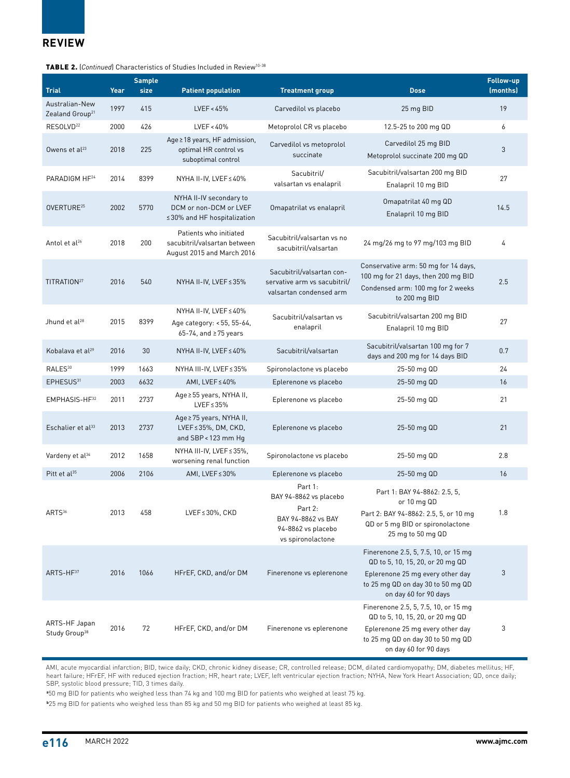# **REVIEW**

#### TABLE 2. (*Continued*) Characteristics of Studies Included in Review10-38

| <b>Trial</b>                                  | Year | <b>Sample</b><br>size | <b>Patient population</b>                                                            | <b>Treatment group</b>                                                                                        | <b>Dose</b>                                                                                                                                                                | Follow-up<br>(months) |
|-----------------------------------------------|------|-----------------------|--------------------------------------------------------------------------------------|---------------------------------------------------------------------------------------------------------------|----------------------------------------------------------------------------------------------------------------------------------------------------------------------------|-----------------------|
| Australian-New<br>Zealand Group <sup>21</sup> | 1997 | 415                   | LVEF < 45%                                                                           | Carvedilol vs placebo                                                                                         | 25 mg BID                                                                                                                                                                  | 19                    |
| RESOLVD <sup>22</sup>                         | 2000 | 426                   | LVEF < 40%                                                                           | Metoprolol CR vs placebo                                                                                      | 12.5-25 to 200 mg QD                                                                                                                                                       | 6                     |
| Owens et al <sup>23</sup>                     | 2018 | 225                   | Age ≥ 18 years, HF admission,<br>optimal HR control vs<br>suboptimal control         | Carvedilol vs metoprolol<br>succinate                                                                         | Carvedilol 25 mg BID<br>Metoprolol succinate 200 mg QD                                                                                                                     | 3                     |
| PARADIGM HF <sup>24</sup>                     | 2014 | 8399                  | NYHA II-IV, LVEF ≤ 40%                                                               | Sacubitril/<br>valsartan vs enalapril                                                                         | Sacubitril/valsartan 200 mg BID<br>Enalapril 10 mg BID                                                                                                                     | 27                    |
| OVERTURE <sup>25</sup>                        | 2002 | 5770                  | NYHA II-IV secondary to<br>DCM or non-DCM or LVEF<br>≤30% and HF hospitalization     | Omapatrilat vs enalapril                                                                                      | Omapatrilat 40 mg QD<br>Enalapril 10 mg BID                                                                                                                                | 14.5                  |
| Antol et al <sup>26</sup>                     | 2018 | 200                   | Patients who initiated<br>sacubitril/valsartan between<br>August 2015 and March 2016 | Sacubitril/valsartan vs no<br>sacubitril/valsartan                                                            | 24 mg/26 mg to 97 mg/103 mg BID                                                                                                                                            | 4                     |
| TITRATION <sup>27</sup>                       | 2016 | 540                   | NYHA II-IV, LVEF ≤ 35%                                                               | Sacubitril/valsartan con-<br>servative arm vs sacubitril/<br>valsartan condensed arm                          | Conservative arm: 50 mg for 14 days,<br>100 mg for 21 days, then 200 mg BID<br>Condensed arm: 100 mg for 2 weeks<br>to 200 mg BID                                          | 2.5                   |
| Jhund et al <sup>28</sup>                     | 2015 | 8399                  | NYHA II-IV, LVEF ≤ 40%<br>Age category: < 55, 55-64,<br>65-74, and ≥75 years         | Sacubitril/valsartan vs<br>enalapril                                                                          | Sacubitril/valsartan 200 mg BID<br>Enalapril 10 mg BID                                                                                                                     | 27                    |
| Kobalava et al <sup>29</sup>                  | 2016 | 30                    | NYHA II-IV, LVEF ≤ 40%                                                               | Sacubitril/valsartan                                                                                          | Sacubitril/valsartan 100 mg for 7<br>days and 200 mg for 14 days BID                                                                                                       | 0.7                   |
| RALES <sup>30</sup>                           | 1999 | 1663                  | NYHA III-IV, LVEF ≤ 35%                                                              | Spironolactone vs placebo                                                                                     | 25-50 mg QD                                                                                                                                                                | 24                    |
| EPHESUS31                                     | 2003 | 6632                  | AMI, LVEF ≤ 40%                                                                      | Eplerenone vs placebo                                                                                         | 25-50 mg QD                                                                                                                                                                | 16                    |
| EMPHASIS-HF <sup>32</sup>                     | 2011 | 2737                  | Age ≥ 55 years, NYHA II,<br>LVEF $\leq$ 35%                                          | Eplerenone vs placebo                                                                                         | 25-50 mg QD                                                                                                                                                                | 21                    |
| Eschalier et al <sup>33</sup>                 | 2013 | 2737                  | Age ≥ 75 years, NYHA II,<br>LVEF≤35%, DM, CKD,<br>and SBP < 123 mm Hg                | Eplerenone vs placebo                                                                                         | 25-50 mg QD                                                                                                                                                                | 21                    |
| Vardeny et al <sup>34</sup>                   | 2012 | 1658                  | NYHA III-IV, LVEF ≤ 35%,<br>worsening renal function                                 | Spironolactone vs placebo                                                                                     | 25-50 mg QD                                                                                                                                                                | 2.8                   |
| Pitt et al <sup>35</sup>                      | 2006 | 2106                  | AMI, LVEF ≤ 30%                                                                      | Eplerenone vs placebo                                                                                         | 25-50 mg QD                                                                                                                                                                | 16                    |
| ARTS <sup>36</sup>                            | 2013 | 458                   | LVEF≤30%, CKD                                                                        | Part 1:<br>BAY 94-8862 vs placebo<br>Part 2:<br>BAY 94-8862 vs BAY<br>94-8862 vs placebo<br>vs spironolactone | Part 1: BAY 94-8862: 2.5, 5,<br>or 10 mg QD<br>Part 2: BAY 94-8862: 2.5, 5, or 10 mg<br>QD or 5 mg BID or spironolactone<br>25 mg to 50 mg QD                              | 1.8                   |
| ARTS-HF37                                     | 2016 | 1066                  | HFrEF, CKD, and/or DM                                                                | Finerenone vs eplerenone                                                                                      | Finerenone 2.5, 5, 7.5, 10, or 15 mg<br>QD to 5, 10, 15, 20, or 20 mg QD<br>Eplerenone 25 mg every other day<br>to 25 mg QD on day 30 to 50 mg QD<br>on day 60 for 90 days | 3                     |
| ARTS-HF Japan<br>Study Group <sup>38</sup>    | 2016 | 72                    | HFrEF, CKD, and/or DM                                                                | Finerenone vs eplerenone                                                                                      | Finerenone 2.5, 5, 7.5, 10, or 15 mg<br>QD to 5, 10, 15, 20, or 20 mg QD<br>Eplerenone 25 mg every other day<br>to 25 mg QD on day 30 to 50 mg QD<br>on day 60 for 90 days | 3                     |

AMI, acute myocardial infarction; BID, twice daily; CKD, chronic kidney disease; CR, controlled release; DCM, dilated cardiomyopathy; DM, diabetes mellitus; HF, heart failure; HFrEF, HF with reduced ejection fraction; HR, heart rate; LVEF, left ventricular ejection fraction; NYHA, New York Heart Association; QD, once daily; SBP, systolic blood pressure; TID, 3 times daily.

**a** 50 mg BID for patients who weighed less than 74 kg and 100 mg BID for patients who weighed at least 75 kg.

**b** 25 mg BID for patients who weighed less than 85 kg and 50 mg BID for patients who weighed at least 85 kg.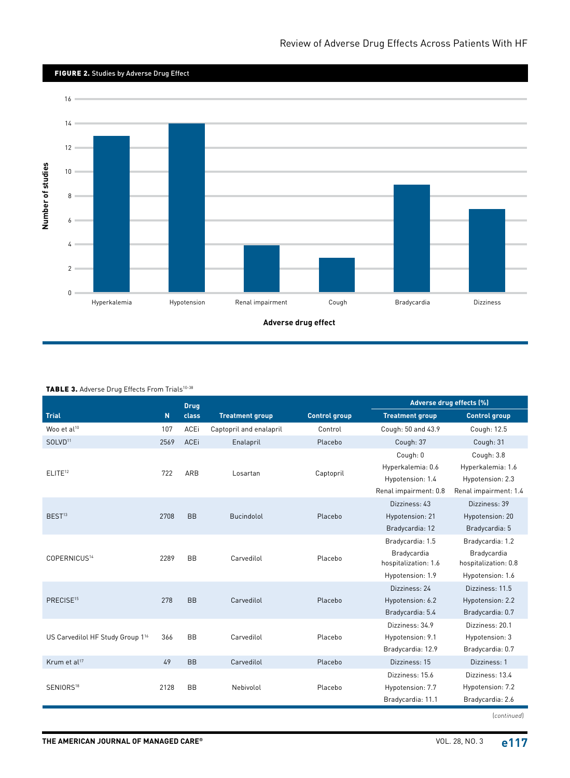

# TABLE 3. Adverse Drug Effects From Trials<sup>10-38</sup>

|                                              |             | <b>Drug</b> |                         |                      | Adverse drug effects (%) |                       |
|----------------------------------------------|-------------|-------------|-------------------------|----------------------|--------------------------|-----------------------|
| <b>Trial</b>                                 | $\mathbf N$ | class       | <b>Treatment group</b>  | <b>Control group</b> | <b>Treatment group</b>   | <b>Control group</b>  |
| Woo et al <sup>10</sup>                      | 107         | <b>ACEi</b> | Captopril and enalapril | Control              | Cough: 50 and 43.9       | Cough: 12.5           |
| SOLVD <sup>11</sup>                          | 2569        | ACEi        | Enalapril               | Placebo              | Cough: 37                | Cough: 31             |
|                                              |             |             |                         |                      | Cough: 0                 | Cough: 3.8            |
| ELITE <sup>12</sup>                          | 722         | ARB         | Losartan                | Captopril            | Hyperkalemia: 0.6        | Hyperkalemia: 1.6     |
|                                              |             |             |                         |                      | Hypotension: 1.4         | Hypotension: 2.3      |
|                                              |             |             |                         |                      | Renal impairment: 0.8    | Renal impairment: 1.4 |
|                                              |             |             |                         |                      | Dizziness: 43            | Dizziness: 39         |
| BEST <sup>13</sup>                           | 2708        | <b>BB</b>   | Bucindolol              | Placebo              | Hypotension: 21          | Hypotension: 20       |
|                                              |             |             |                         |                      | Bradycardia: 12          | Bradycardia: 5        |
|                                              |             |             |                         |                      | Bradycardia: 1.5         | Bradycardia: 1.2      |
| COPERNICUS <sup>14</sup>                     | 2289        | <b>BB</b>   | Carvedilol              | Placebo              | Bradycardia              | Bradycardia           |
|                                              |             |             |                         |                      | hospitalization: 1.6     | hospitalization: 0.8  |
|                                              |             |             |                         |                      | Hypotension: 1.9         | Hypotension: 1.6      |
|                                              |             |             |                         |                      | Dizziness: 24            | Dizziness: 11.5       |
| PRECISE <sup>15</sup>                        | 278         | <b>BB</b>   | Carvedilol              | Placebo              | Hypotension: 6.2         | Hypotension: 2.2      |
|                                              |             |             |                         |                      | Bradycardia: 5.4         | Bradycardia: 0.7      |
|                                              |             |             |                         |                      | Dizziness: 34.9          | Dizziness: 20.1       |
| US Carvedilol HF Study Group 1 <sup>16</sup> | 366         | <b>BB</b>   | Carvedilol              | Placebo              | Hypotension: 9.1         | Hypotension: 3        |
|                                              |             |             |                         |                      | Bradycardia: 12.9        | Bradycardia: 0.7      |
| Krum et al <sup>17</sup>                     | 49          | <b>BB</b>   | Carvedilol              | Placebo              | Dizziness: 15            | Dizziness: 1          |
|                                              |             |             |                         |                      | Dizziness: 15.6          | Dizziness: 13.4       |
| SENIORS <sup>18</sup>                        | 2128        | <b>BB</b>   | Nebivolol               | Placebo              | Hypotension: 7.7         | Hypotension: 7.2      |
|                                              |             |             |                         |                      | Bradycardia: 11.1        | Bradycardia: 2.6      |
|                                              |             |             |                         |                      |                          |                       |

(*continued*)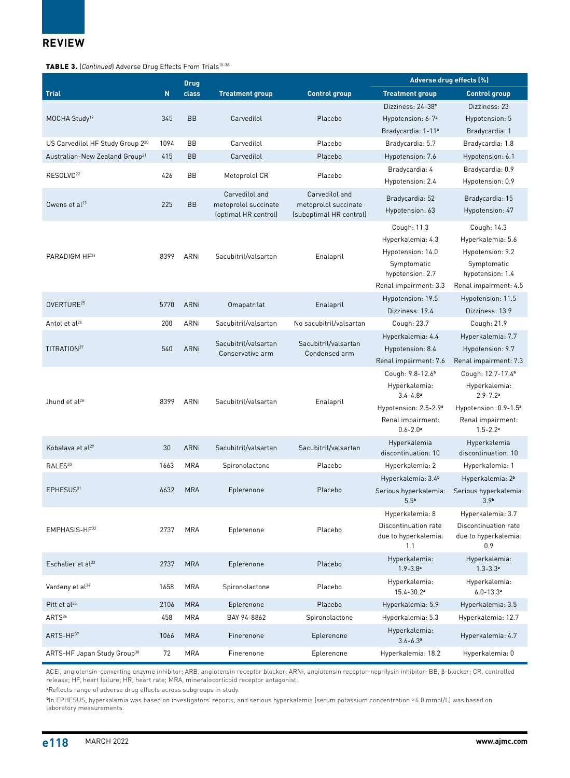

TABLE 3. (*Continued*) Adverse Drug Effects From Trials<sup>10-38</sup>

|                                              |      | <b>Drug</b>            |                                                                |                                                                   | Adverse drug effects (%)                                                                                                                                        |                                                                                                                                                                  |
|----------------------------------------------|------|------------------------|----------------------------------------------------------------|-------------------------------------------------------------------|-----------------------------------------------------------------------------------------------------------------------------------------------------------------|------------------------------------------------------------------------------------------------------------------------------------------------------------------|
| Trial                                        | N    | class                  | <b>Treatment group</b>                                         | <b>Control group</b>                                              | <b>Treatment group</b>                                                                                                                                          | <b>Control group</b>                                                                                                                                             |
|                                              |      |                        |                                                                |                                                                   | Dizziness: 24-38 <sup>a</sup>                                                                                                                                   | Dizziness: 23                                                                                                                                                    |
| MOCHA Study <sup>19</sup>                    | 345  | <b>BB</b>              | Carvedilol                                                     | Placebo                                                           | Hypotension: 6-7 <sup>a</sup>                                                                                                                                   | Hypotension: 5                                                                                                                                                   |
|                                              |      |                        |                                                                |                                                                   | Bradycardia: 1-11 <sup>ª</sup>                                                                                                                                  | Bradycardia: 1                                                                                                                                                   |
| US Carvedilol HF Study Group 2 <sup>20</sup> | 1094 | <b>BB</b><br><b>BB</b> | Carvedilol                                                     | Placebo                                                           | Bradycardia: 5.7                                                                                                                                                | Bradycardia: 1.8                                                                                                                                                 |
| Australian-New Zealand Group <sup>21</sup>   | 415  |                        | Carvedilol                                                     | Placebo                                                           | Hypotension: 7.6<br>Bradycardia: 4                                                                                                                              | Hypotension: 6.1<br>Bradycardia: 0.9                                                                                                                             |
| RESOLVD <sup>22</sup>                        | 426  | <b>BB</b>              | Metoprolol CR                                                  | Placebo                                                           | Hypotension: 2.4                                                                                                                                                | Hypotension: 0.9                                                                                                                                                 |
| Owens et al <sup>23</sup>                    | 225  | <b>BB</b>              | Carvedilol and<br>metoprolol succinate<br>(optimal HR control) | Carvedilol and<br>metoprolol succinate<br>(suboptimal HR control) | Bradycardia: 52<br>Hypotension: 63                                                                                                                              | Bradycardia: 15<br>Hypotension: 47                                                                                                                               |
| PARADIGM HF <sup>24</sup>                    | 8399 | ARNi                   | Sacubitril/valsartan                                           | Enalapril                                                         | Cough: 11.3<br>Hyperkalemia: 4.3<br>Hypotension: 14.0<br>Symptomatic<br>hypotension: 2.7<br>Renal impairment: 3.3                                               | Cough: 14.3<br>Hyperkalemia: 5.6<br>Hypotension: 9.2<br>Symptomatic<br>hypotension: 1.4<br>Renal impairment: 4.5                                                 |
| OVERTURE <sup>25</sup>                       | 5770 | ARNi                   | Omapatrilat                                                    | Enalapril                                                         | Hypotension: 19.5<br>Dizziness: 19.4                                                                                                                            | Hypotension: 11.5<br>Dizziness: 13.9                                                                                                                             |
| Antol et al <sup>26</sup>                    | 200  | ARNi                   | Sacubitril/valsartan                                           | No sacubitril/valsartan                                           | Cough: 23.7                                                                                                                                                     | Cough: 21.9                                                                                                                                                      |
| TITRATION <sup>27</sup>                      | 540  | ARNi                   | Sacubitril/valsartan<br>Conservative arm                       | Sacubitril/valsartan<br>Condensed arm                             | Hyperkalemia: 4.4<br>Hypotension: 8.4<br>Renal impairment: 7.6                                                                                                  | Hyperkalemia: 7.7<br>Hypotension: 9.7<br>Renal impairment: 7.3                                                                                                   |
| Jhund et al <sup>28</sup>                    | 8399 | ARNi                   | Sacubitril/valsartan                                           | Enalapril                                                         | Cough: 9.8-12.6 <sup>a</sup><br>Hyperkalemia:<br>$3.4 - 4.8$ <sup>a</sup><br>Hypotension: 2.5-2.9 <sup>a</sup><br>Renal impairment:<br>$0.6 - 2.0$ <sup>a</sup> | Cough: 12.7-17.4 <sup>a</sup><br>Hyperkalemia:<br>$2.9 - 7.2$ <sup>a</sup><br>Hypotension: 0.9-1.5 <sup>a</sup><br>Renal impairment:<br>$1.5 - 2.2$ <sup>a</sup> |
| Kobalava et al <sup>29</sup>                 | 30   | ARNi                   | Sacubitril/valsartan                                           | Sacubitril/valsartan                                              | Hyperkalemia<br>discontinuation: 10                                                                                                                             | Hyperkalemia<br>discontinuation: 10                                                                                                                              |
| RALES <sup>30</sup>                          | 1663 | MRA                    | Spironolactone                                                 | Placebo                                                           | Hyperkalemia: 2                                                                                                                                                 | Hyperkalemia: 1                                                                                                                                                  |
| EPHESUS31                                    | 6632 | <b>MRA</b>             | Eplerenone                                                     | Placebo                                                           | Hyperkalemia: 3.4 <sup>b</sup><br>Serious hyperkalemia:<br>5.5 <sup>b</sup>                                                                                     | Hyperkalemia: 2 <sup>b</sup><br>Serious hyperkalemia:<br>3.9 <sup>b</sup>                                                                                        |
| EMPHASIS-HF <sup>32</sup>                    | 2737 | <b>MRA</b>             | Eplerenone                                                     | Placebo                                                           | Hyperkalemia: 8<br>Discontinuation rate<br>due to hyperkalemia:<br>1.1                                                                                          | Hyperkalemia: 3.7<br>Discontinuation rate<br>due to hyperkalemia:<br>0.9                                                                                         |
| Eschalier et al <sup>33</sup>                | 2737 | <b>MRA</b>             | Eplerenone                                                     | Placebo                                                           | Hyperkalemia:<br>$1.9 - 3.8$ <sup>a</sup>                                                                                                                       | Hyperkalemia:<br>$1.3 - 3.3$ <sup>a</sup>                                                                                                                        |
| Vardeny et al <sup>34</sup>                  | 1658 | <b>MRA</b>             | Spironolactone                                                 | Placebo                                                           | Hyperkalemia:<br>$15.4 - 30.2a$                                                                                                                                 | Hyperkalemia:<br>$6.0 - 13.3$ <sup>a</sup>                                                                                                                       |
| Pitt et al <sup>35</sup>                     | 2106 | <b>MRA</b>             | Eplerenone                                                     | Placebo                                                           | Hyperkalemia: 5.9                                                                                                                                               | Hyperkalemia: 3.5                                                                                                                                                |
| ARTS <sup>36</sup>                           | 458  | <b>MRA</b>             | BAY 94-8862                                                    | Spironolactone                                                    | Hyperkalemia: 5.3                                                                                                                                               | Hyperkalemia: 12.7                                                                                                                                               |
| ARTS-HF37                                    | 1066 | <b>MRA</b>             | Finerenone                                                     | Eplerenone                                                        | Hyperkalemia:<br>$3.6 - 6.3a$                                                                                                                                   | Hyperkalemia: 4.7                                                                                                                                                |
| ARTS-HF Japan Study Group <sup>38</sup>      | 72   | MRA                    | Finerenone                                                     | Eplerenone                                                        | Hyperkalemia: 18.2                                                                                                                                              | Hyperkalemia: 0                                                                                                                                                  |

ACEi, angiotensin-converting enzyme inhibitor; ARB, angiotensin receptor blocker; ARNi, angiotensin receptor-neprilysin inhibitor; BB, β-blocker; CR, controlled release; HF, heart failure; HR, heart rate; MRA, mineralocorticoid receptor antagonist.

**a** Reflects range of adverse drug effects across subgroups in study.

**b** In EPHESUS, hyperkalemia was based on investigators' reports, and serious hyperkalemia (serum potassium concentration ≥ 6.0 mmol/L) was based on laboratory measurements.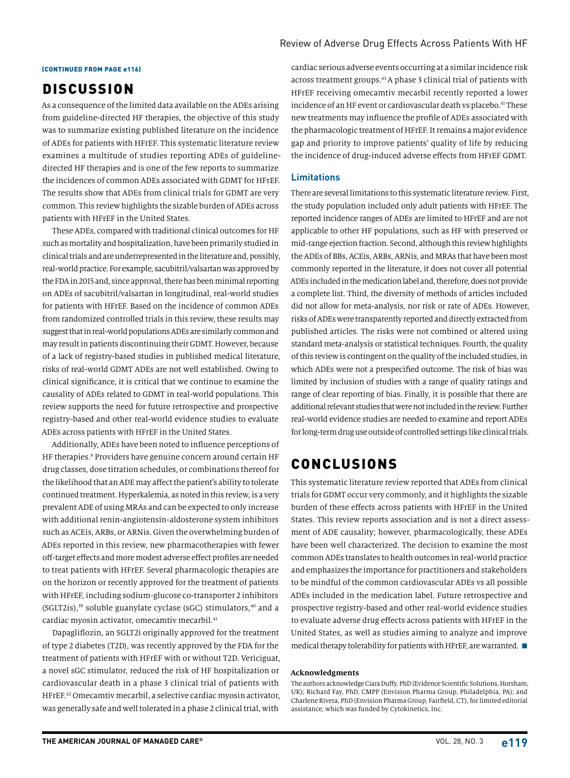#### (CONTINUED FROM PAGE e116)

# DISCUSSION

As a consequence of the limited data available on the ADEs arising from guideline-directed HF therapies, the objective of this study was to summarize existing published literature on the incidence of ADEs for patients with HFrEF. This systematic literature review examines a multitude of studies reporting ADEs of guidelinedirected HF therapies and is one of the few reports to summarize the incidences of common ADEs associated with GDMT for HFrEF. The results show that ADEs from clinical trials for GDMT are very common. This review highlights the sizable burden of ADEs across patients with HFrEF in the United States.

These ADEs, compared with traditional clinical outcomes for HF such as mortality and hospitalization, have been primarily studied in clinical trials and are underrepresented in the literature and, possibly, real-world practice. For example, sacubitril/valsartan was approved by the FDA in 2015 and, since approval, there has been minimal reporting on ADEs of sacubitril/valsartan in longitudinal, real-world studies for patients with HFrEF. Based on the incidence of common ADEs from randomized controlled trials in this review, these results may suggest that in real-world populations ADEs are similarly common and may result in patients discontinuing their GDMT. However, because of a lack of registry-based studies in published medical literature, risks of real-world GDMT ADEs are not well established. Owing to clinical significance, it is critical that we continue to examine the causality of ADEs related to GDMT in real-world populations. This review supports the need for future retrospective and prospective registry-based and other real-world evidence studies to evaluate ADEs across patients with HFrEF in the United States.

Additionally, ADEs have been noted to influence perceptions of HF therapies.9 Providers have genuine concern around certain HF drug classes, dose titration schedules, or combinations thereof for the likelihood that an ADE may affect the patient's ability to tolerate continued treatment. Hyperkalemia, as noted in this review, is a very prevalent ADE of using MRAs and can be expected to only increase with additional renin-angiotensin-aldosterone system inhibitors such as ACEis, ARBs, or ARNis. Given the overwhelming burden of ADEs reported in this review, new pharmacotherapies with fewer off-target effects and more modest adverse effect profiles are needed to treat patients with HFrEF. Several pharmacologic therapies are on the horizon or recently approved for the treatment of patients with HFrEF, including sodium-glucose co-transporter 2 inhibitors (SGLT2is),<sup>39</sup> soluble guanylate cyclase (sGC) stimulators,<sup>40</sup> and a cardiac myosin activator, omecamtiv mecarbil.<sup>41</sup>

Dapagliflozin, an SGLT2i originally approved for the treatment of type 2 diabetes (T2D), was recently approved by the FDA for the treatment of patients with HFrEF with or without T2D. Vericiguat, a novel sGC stimulator, reduced the risk of HF hospitalization or cardiovascular death in a phase 3 clinical trial of patients with HFrEF.42 Omecamtiv mecarbil, a selective cardiac myosin activator, was generally safe and well tolerated in a phase 2 clinical trial, with

### Review of Adverse Drug Effects Across Patients With HF

cardiac serious adverse events occurring at a similar incidence risk across treatment groups.43 A phase 3 clinical trial of patients with HFrEF receiving omecamtiv mecarbil recently reported a lower incidence of an HF event or cardiovascular death vs placebo.<sup>41</sup> These new treatments may influence the profile of ADEs associated with the pharmacologic treatment of HFrEF. It remains a major evidence gap and priority to improve patients' quality of life by reducing the incidence of drug-induced adverse effects from HFrEF GDMT.

### **Limitations**

There are several limitations to this systematic literature review. First, the study population included only adult patients with HFrEF. The reported incidence ranges of ADEs are limited to HFrEF and are not applicable to other HF populations, such as HF with preserved or mid-range ejection fraction. Second, although this review highlights the ADEs of BBs, ACEis, ARBs, ARNis, and MRAs that have been most commonly reported in the literature, it does not cover all potential ADEs included in the medication label and, therefore, does not provide a complete list. Third, the diversity of methods of articles included did not allow for meta-analysis, nor risk or rate of ADEs. However, risks of ADEs were transparently reported and directly extracted from published articles. The risks were not combined or altered using standard meta-analysis or statistical techniques. Fourth, the quality of this review is contingent on the quality of the included studies, in which ADEs were not a prespecified outcome. The risk of bias was limited by inclusion of studies with a range of quality ratings and range of clear reporting of bias. Finally, it is possible that there are additional relevant studies that were not included in the review. Further real-world evidence studies are needed to examine and report ADEs for long-term drug use outside of controlled settings like clinical trials.

# CONCLUSIONS

This systematic literature review reported that ADEs from clinical trials for GDMT occur very commonly, and it highlights the sizable burden of these effects across patients with HFrEF in the United States. This review reports association and is not a direct assessment of ADE causality; however, pharmacologically, these ADEs have been well characterized. The decision to examine the most common ADEs translates to health outcomes in real-world practice and emphasizes the importance for practitioners and stakeholders to be mindful of the common cardiovascular ADEs vs all possible ADEs included in the medication label. Future retrospective and prospective registry-based and other real-world evidence studies to evaluate adverse drug effects across patients with HFrEF in the United States, as well as studies aiming to analyze and improve medical therapy tolerability for patients with HFrEF, are warranted.  $\blacksquare$ 

#### **Acknowledgments**

The authors acknowledge Ciara Duffy, PhD (Evidence Scientific Solutions, Horsham, UK); Richard Fay, PhD, CMPP (Envision Pharma Group, Philadelphia, PA); and Charlene Rivera, PhD (Envision Pharma Group, Fairfield, CT), for limited editorial assistance, which was funded by Cytokinetics, Inc.